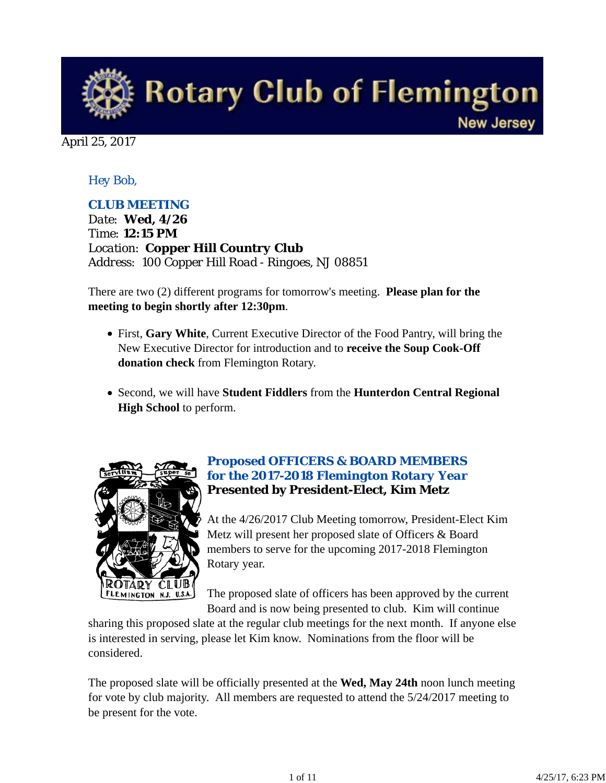**Rotary Club of Flemington New Jersey** 

April 25, 2017

# *Hey Bob,*

# *CLUB MEETING*

*Date: Wed, 4/26 Time: 12:15 PM Location: Copper Hill Country Club Address: 100 Copper Hill Road - Ringoes, NJ 08851*

There are two (2) different programs for tomorrow's meeting. **Please plan for the meeting to begin shortly after 12:30pm**.

- First, **Gary White**, Current Executive Director of the Food Pantry, will bring the New Executive Director for introduction and to **receive the Soup Cook-Off donation check** from Flemington Rotary.
- Second, we will have **Student Fiddlers** from the **Hunterdon Central Regional High School** to perform.



## *Proposed OFFICERS & BOARD MEMBERS for the 2017-2018 Flemington Rotary Year* **Presented by President-Elect, Kim Metz**

At the 4/26/2017 Club Meeting tomorrow, President-Elect Kim Metz will present her proposed slate of Officers & Board members to serve for the upcoming 2017-2018 Flemington Rotary year.

The proposed slate of officers has been approved by the current Board and is now being presented to club. Kim will continue

sharing this proposed slate at the regular club meetings for the next month. If anyone else is interested in serving, please let Kim know. Nominations from the floor will be considered.

The proposed slate will be officially presented at the **Wed, May 24th** noon lunch meeting for vote by club majority. All members are requested to attend the 5/24/2017 meeting to be present for the vote.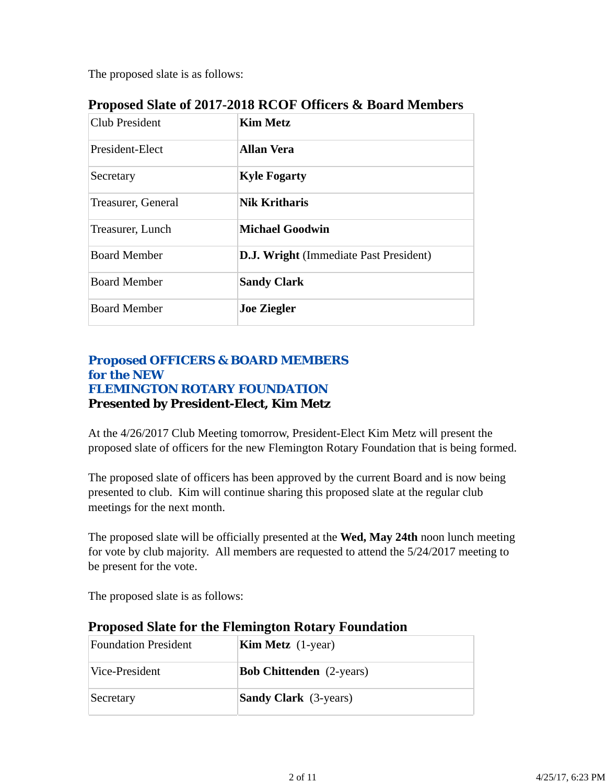The proposed slate is as follows:

| <b>Club President</b> | <b>Kim Metz</b>                               |
|-----------------------|-----------------------------------------------|
| President-Elect       | <b>Allan Vera</b>                             |
| Secretary             | <b>Kyle Fogarty</b>                           |
| Treasurer, General    | <b>Nik Kritharis</b>                          |
| Treasurer, Lunch      | <b>Michael Goodwin</b>                        |
| <b>Board Member</b>   | <b>D.J. Wright</b> (Immediate Past President) |
| <b>Board Member</b>   | <b>Sandy Clark</b>                            |
| <b>Board Member</b>   | <b>Joe Ziegler</b>                            |

# **Proposed Slate of 2017-2018 RCOF Officers & Board Members**

### *Proposed OFFICERS & BOARD MEMBERS for the NEW FLEMINGTON ROTARY FOUNDATION* **Presented by President-Elect, Kim Metz**

At the 4/26/2017 Club Meeting tomorrow, President-Elect Kim Metz will present the proposed slate of officers for the new Flemington Rotary Foundation that is being formed.

The proposed slate of officers has been approved by the current Board and is now being presented to club. Kim will continue sharing this proposed slate at the regular club meetings for the next month.

The proposed slate will be officially presented at the **Wed, May 24th** noon lunch meeting for vote by club majority. All members are requested to attend the 5/24/2017 meeting to be present for the vote.

The proposed slate is as follows:

| <b>Foundation President</b> | <b>Kim Metz</b> $(1$ -year)     |
|-----------------------------|---------------------------------|
| Vice-President              | <b>Bob Chittenden</b> (2-years) |
| Secretary                   | <b>Sandy Clark</b> (3-years)    |

# **Proposed Slate for the Flemington Rotary Foundation**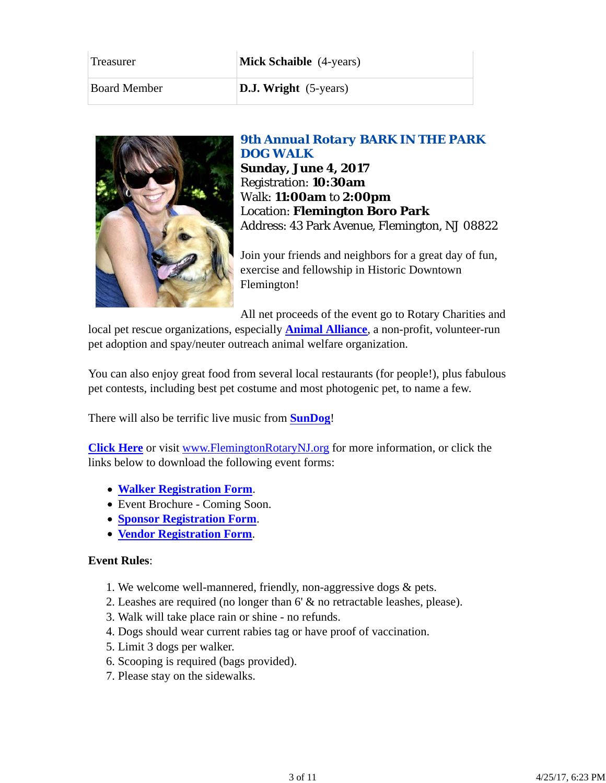| Treasurer           | <b>Mick Schaible</b> (4-years)  |  |
|---------------------|---------------------------------|--|
| <b>Board Member</b> | <b>D.J.</b> Wright $(5$ -years) |  |



# *9th Annual Rotary BARK IN THE PARK DOG WALK*

**Sunday, June 4, 2017** Registration: **10:30am** Walk: **11:00am** to **2:00pm** Location: **Flemington Boro Park** Address: 43 Park Avenue, Flemington, NJ 08822

Join your friends and neighbors for a great day of fun, exercise and fellowship in Historic Downtown Flemington!

All net proceeds of the event go to Rotary Charities and local pet rescue organizations, especially **Animal Alliance**, a non-profit, volunteer-run pet adoption and spay/neuter outreach animal welfare organization.

You can also enjoy great food from several local restaurants (for people!), plus fabulous pet contests, including best pet costume and most photogenic pet, to name a few.

There will also be terrific live music from **SunDog**!

**Click Here** or visit www.FlemingtonRotaryNJ.org for more information, or click the links below to download the following event forms:

- **Walker Registration Form**.
- Event Brochure Coming Soon.
- **Sponsor Registration Form**.
- **Vendor Registration Form**.

#### **Event Rules**:

- 1. We welcome well-mannered, friendly, non-aggressive dogs & pets.
- 2. Leashes are required (no longer than 6' & no retractable leashes, please).
- 3. Walk will take place rain or shine no refunds.
- 4. Dogs should wear current rabies tag or have proof of vaccination.
- 5. Limit 3 dogs per walker.
- 6. Scooping is required (bags provided).
- 7. Please stay on the sidewalks.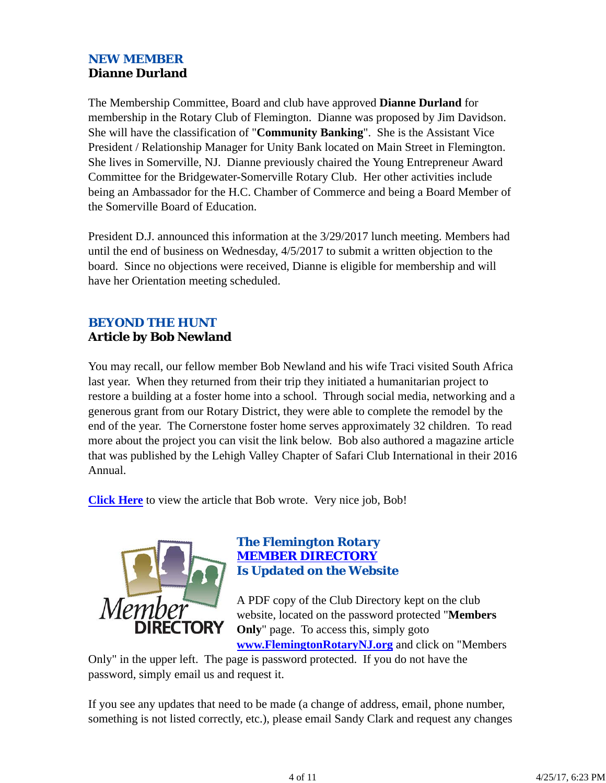# *NEW MEMBER* **Dianne Durland**

The Membership Committee, Board and club have approved **Dianne Durland** for membership in the Rotary Club of Flemington. Dianne was proposed by Jim Davidson. She will have the classification of "**Community Banking**". She is the Assistant Vice President / Relationship Manager for Unity Bank located on Main Street in Flemington. She lives in Somerville, NJ. Dianne previously chaired the Young Entrepreneur Award Committee for the Bridgewater-Somerville Rotary Club. Her other activities include being an Ambassador for the H.C. Chamber of Commerce and being a Board Member of the Somerville Board of Education.

President D.J. announced this information at the 3/29/2017 lunch meeting. Members had until the end of business on Wednesday, 4/5/2017 to submit a written objection to the board. Since no objections were received, Dianne is eligible for membership and will have her Orientation meeting scheduled.

# *BEYOND THE HUNT* **Article by Bob Newland**

You may recall, our fellow member Bob Newland and his wife Traci visited South Africa last year. When they returned from their trip they initiated a humanitarian project to restore a building at a foster home into a school. Through social media, networking and a generous grant from our Rotary District, they were able to complete the remodel by the end of the year. The Cornerstone foster home serves approximately 32 children. To read more about the project you can visit the link below. Bob also authored a magazine article that was published by the Lehigh Valley Chapter of Safari Club International in their 2016 Annual.

**Click Here** to view the article that Bob wrote. Very nice job, Bob!



#### *The Flemington Rotary MEMBER DIRECTORY Is Updated on the Website*

A PDF copy of the Club Directory kept on the club website, located on the password protected "**Members Only**" page. To access this, simply goto **www.FlemingtonRotaryNJ.org** and click on "Members

Only" in the upper left. The page is password protected. If you do not have the password, simply email us and request it.

If you see any updates that need to be made (a change of address, email, phone number, something is not listed correctly, etc.), please email Sandy Clark and request any changes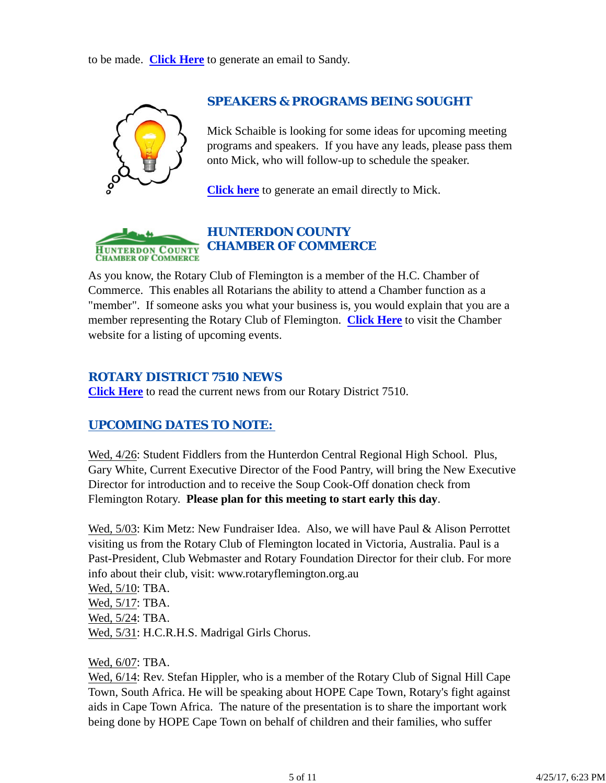to be made. **Click Here** to generate an email to Sandy.



#### *SPEAKERS & PROGRAMS BEING SOUGHT*

Mick Schaible is looking for some ideas for upcoming meeting programs and speakers. If you have any leads, please pass them onto Mick, who will follow-up to schedule the speaker.

**Click here** to generate an email directly to Mick.



# *HUNTERDON COUNTY CHAMBER OF COMMERCE*

As you know, the Rotary Club of Flemington is a member of the H.C. Chamber of Commerce. This enables all Rotarians the ability to attend a Chamber function as a "member". If someone asks you what your business is, you would explain that you are a member representing the Rotary Club of Flemington. **Click Here** to visit the Chamber website for a listing of upcoming events.

## *ROTARY DISTRICT 7510 NEWS*

**Click Here** to read the current news from our Rotary District 7510.

# *UPCOMING DATES TO NOTE:*

Wed, 4/26: Student Fiddlers from the Hunterdon Central Regional High School. Plus, Gary White, Current Executive Director of the Food Pantry, will bring the New Executive Director for introduction and to receive the Soup Cook-Off donation check from Flemington Rotary. **Please plan for this meeting to start early this day**.

Wed, 5/03: Kim Metz: New Fundraiser Idea. Also, we will have Paul & Alison Perrottet visiting us from the Rotary Club of Flemington located in Victoria, Australia. Paul is a Past-President, Club Webmaster and Rotary Foundation Director for their club. For more info about their club, visit: www.rotaryflemington.org.au

Wed, 5/10: TBA. Wed, 5/17: TBA. Wed, 5/24: TBA. Wed, 5/31: H.C.R.H.S. Madrigal Girls Chorus.

Wed, 6/07: TBA.

Wed,  $6/14$ : Rev. Stefan Hippler, who is a member of the Rotary Club of Signal Hill Cape Town, South Africa. He will be speaking about HOPE Cape Town, Rotary's fight against aids in Cape Town Africa. The nature of the presentation is to share the important work being done by HOPE Cape Town on behalf of children and their families, who suffer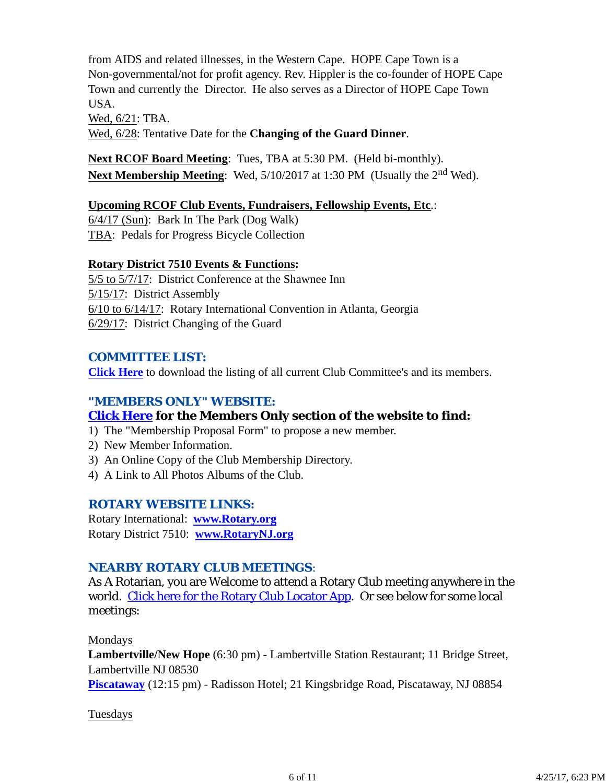from AIDS and related illnesses, in the Western Cape. HOPE Cape Town is a Non-governmental/not for profit agency. Rev. Hippler is the co-founder of HOPE Cape Town and currently the Director. He also serves as a Director of HOPE Cape Town USA.

Wed, 6/21: TBA. Wed, 6/28: Tentative Date for the **Changing of the Guard Dinner**.

**Next RCOF Board Meeting**: Tues, TBA at 5:30 PM. (Held bi-monthly). **Next Membership Meeting**: Wed,  $5/10/2017$  at 1:30 PM (Usually the 2<sup>nd</sup> Wed).

## **Upcoming RCOF Club Events, Fundraisers, Fellowship Events, Etc**.:

6/4/17 (Sun): Bark In The Park (Dog Walk) TBA: Pedals for Progress Bicycle Collection

#### **Rotary District 7510 Events & Functions:**

5/5 to 5/7/17: District Conference at the Shawnee Inn 5/15/17: District Assembly 6/10 to 6/14/17: Rotary International Convention in Atlanta, Georgia 6/29/17: District Changing of the Guard

## *COMMITTEE LIST:*

**Click Here** to download the listing of all current Club Committee's and its members.

# *"MEMBERS ONLY" WEBSITE:*

# **Click Here for the Members Only section of the website to find:**

- 1) The "Membership Proposal Form" to propose a new member.
- 2) New Member Information.
- 3) An Online Copy of the Club Membership Directory.
- 4) A Link to All Photos Albums of the Club.

# *ROTARY WEBSITE LINKS:*

Rotary International: **www.Rotary.org** Rotary District 7510: **www.RotaryNJ.org**

# *NEARBY ROTARY CLUB MEETINGS:*

As A Rotarian, you are Welcome to attend a Rotary Club meeting anywhere in the world. Click here for the Rotary Club Locator App. Or see below for some local meetings:

#### Mondays

**Lambertville/New Hope** (6:30 pm) - Lambertville Station Restaurant; 11 Bridge Street, Lambertville NJ 08530 **Piscataway** (12:15 pm) - Radisson Hotel; 21 Kingsbridge Road, Piscataway, NJ 08854

#### Tuesdays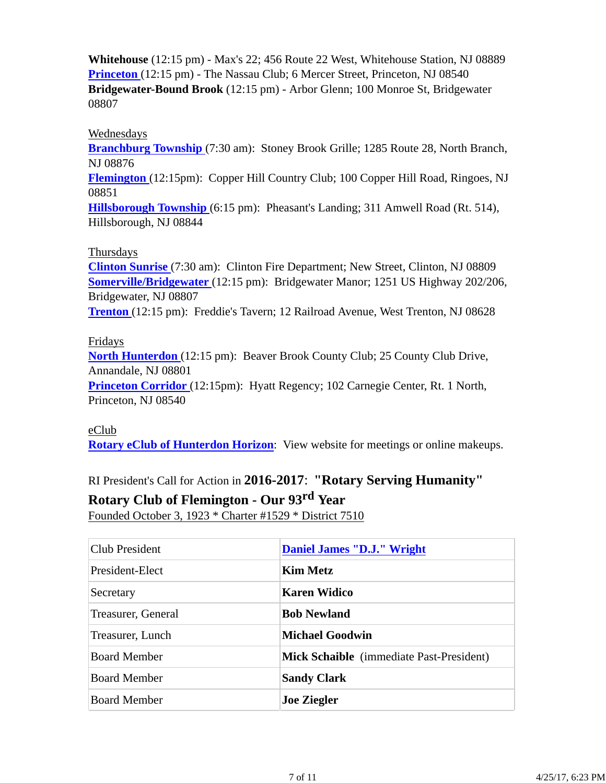**Whitehouse** (12:15 pm) - Max's 22; 456 Route 22 West, Whitehouse Station, NJ 08889 **Princeton** (12:15 pm) - The Nassau Club; 6 Mercer Street, Princeton, NJ 08540 **Bridgewater-Bound Brook** (12:15 pm) - Arbor Glenn; 100 Monroe St, Bridgewater 08807

#### Wednesdays

**Branchburg Township** (7:30 am): Stoney Brook Grille; 1285 Route 28, North Branch, NJ 08876

**Flemington** (12:15pm): Copper Hill Country Club; 100 Copper Hill Road, Ringoes, NJ 08851

**Hillsborough Township** (6:15 pm): Pheasant's Landing; 311 Amwell Road (Rt. 514), Hillsborough, NJ 08844

#### Thursdays

**Clinton Sunrise** (7:30 am): Clinton Fire Department; New Street, Clinton, NJ 08809 **Somerville/Bridgewater** (12:15 pm): Bridgewater Manor; 1251 US Highway 202/206, Bridgewater, NJ 08807

**Trenton** (12:15 pm): Freddie's Tavern; 12 Railroad Avenue, West Trenton, NJ 08628

#### Fridays

**North Hunterdon** (12:15 pm): Beaver Brook County Club; 25 County Club Drive, Annandale, NJ 08801

**Princeton Corridor** (12:15pm): Hyatt Regency; 102 Carnegie Center, Rt. 1 North, Princeton, NJ 08540

## eClub **Rotary eClub of Hunterdon Horizon**: View website for meetings or online makeups.

RI President's Call for Action in **2016-2017**: **"Rotary Serving Humanity"**

# **Rotary Club of Flemington - Our 93rd Year**

Founded October 3, 1923 \* Charter #1529 \* District 7510

| Club President      | Daniel James "D.J." Wright                      |  |
|---------------------|-------------------------------------------------|--|
| President-Elect     | <b>Kim Metz</b>                                 |  |
| Secretary           | Karen Widico                                    |  |
| Treasurer, General  | <b>Bob Newland</b>                              |  |
| Treasurer, Lunch    | <b>Michael Goodwin</b>                          |  |
| <b>Board Member</b> | <b>Mick Schaible</b> (immediate Past-President) |  |
| <b>Board Member</b> | <b>Sandy Clark</b>                              |  |
| <b>Board Member</b> | <b>Joe Ziegler</b>                              |  |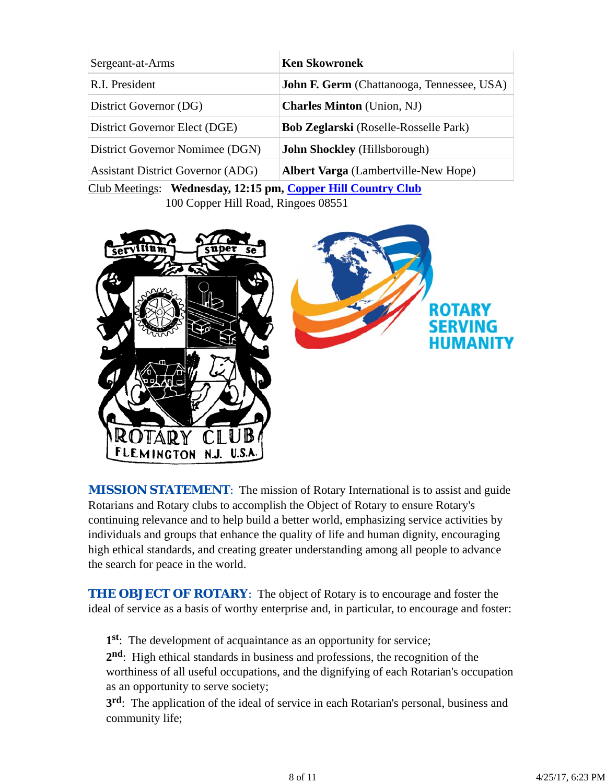| Sergeant-at-Arms                         | <b>Ken Skowronek</b>                              |
|------------------------------------------|---------------------------------------------------|
| R.I. President                           | <b>John F. Germ</b> (Chattanooga, Tennessee, USA) |
| District Governor (DG)                   | <b>Charles Minton</b> (Union, NJ)                 |
| District Governor Elect (DGE)            | <b>Bob Zeglarski</b> (Roselle-Rosselle Park)      |
| District Governor Nomimee (DGN)          | John Shockley (Hillsborough)                      |
| <b>Assistant District Governor (ADG)</b> | <b>Albert Varga</b> (Lambertville-New Hope)       |

Club Meetings: **Wednesday, 12:15 pm, Copper Hill Country Club** 100 Copper Hill Road, Ringoes 08551



*MISSION STATEMENT*: The mission of Rotary International is to assist and guide Rotarians and Rotary clubs to accomplish the Object of Rotary to ensure Rotary's continuing relevance and to help build a better world, emphasizing service activities by individuals and groups that enhance the quality of life and human dignity, encouraging high ethical standards, and creating greater understanding among all people to advance the search for peace in the world.

**THE OBJECT OF ROTARY:** The object of Rotary is to encourage and foster the ideal of service as a basis of worthy enterprise and, in particular, to encourage and foster:

**1st**: The development of acquaintance as an opportunity for service;

**2nd**: High ethical standards in business and professions, the recognition of the worthiness of all useful occupations, and the dignifying of each Rotarian's occupation as an opportunity to serve society;

**3rd**: The application of the ideal of service in each Rotarian's personal, business and community life;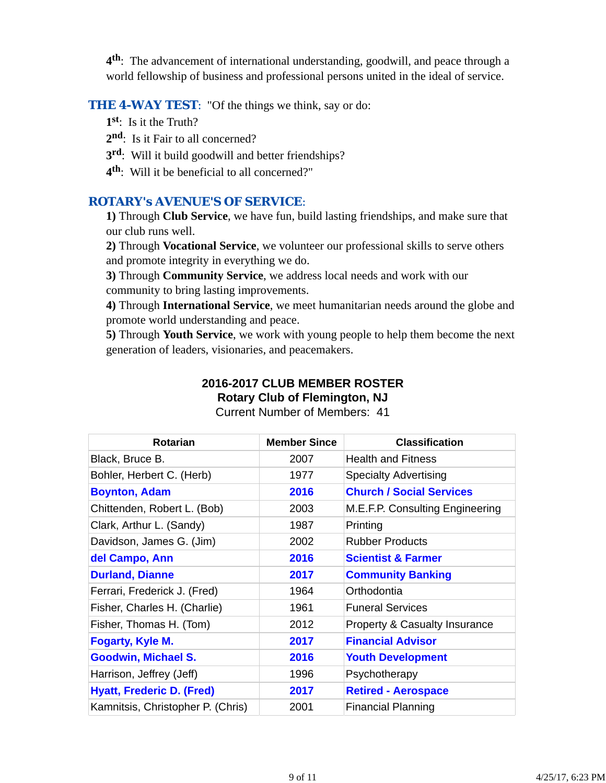**4th**: The advancement of international understanding, goodwill, and peace through a world fellowship of business and professional persons united in the ideal of service.

#### **THE 4-WAY TEST:** "Of the things we think, say or do:

- **1st**: Is it the Truth?
- 2<sup>nd</sup>: Is it Fair to all concerned?
- **3rd**: Will it build goodwill and better friendships?
- **4th**: Will it be beneficial to all concerned?"

#### *ROTARY's AVENUE'S OF SERVICE*:

**1)** Through **Club Service**, we have fun, build lasting friendships, and make sure that our club runs well.

**2)** Through **Vocational Service**, we volunteer our professional skills to serve others and promote integrity in everything we do.

**3)** Through **Community Service**, we address local needs and work with our community to bring lasting improvements.

**4)** Through **International Service**, we meet humanitarian needs around the globe and promote world understanding and peace.

**5)** Through **Youth Service**, we work with young people to help them become the next generation of leaders, visionaries, and peacemakers.

# **2016-2017 CLUB MEMBER ROSTER Rotary Club of Flemington, NJ**

| <b>Rotarian</b>                   | <b>Member Since</b> | <b>Classification</b>           |
|-----------------------------------|---------------------|---------------------------------|
| Black, Bruce B.                   | 2007                | <b>Health and Fitness</b>       |
| Bohler, Herbert C. (Herb)         | 1977                | <b>Specialty Advertising</b>    |
| <b>Boynton, Adam</b>              | 2016                | <b>Church / Social Services</b> |
| Chittenden, Robert L. (Bob)       | 2003                | M.E.F.P. Consulting Engineering |
| Clark, Arthur L. (Sandy)          | 1987                | Printing                        |
| Davidson, James G. (Jim)          | 2002                | <b>Rubber Products</b>          |
| del Campo, Ann                    | 2016                | <b>Scientist &amp; Farmer</b>   |
| <b>Durland, Dianne</b>            | 2017                | <b>Community Banking</b>        |
| Ferrari, Frederick J. (Fred)      | 1964                | Orthodontia                     |
| Fisher, Charles H. (Charlie)      | 1961                | <b>Funeral Services</b>         |
| Fisher, Thomas H. (Tom)           | 2012                | Property & Casualty Insurance   |
| <b>Fogarty, Kyle M.</b>           | 2017                | <b>Financial Advisor</b>        |
| <b>Goodwin, Michael S.</b>        | 2016                | <b>Youth Development</b>        |
| Harrison, Jeffrey (Jeff)          | 1996                | Psychotherapy                   |
| <b>Hyatt, Frederic D. (Fred)</b>  | 2017                | <b>Retired - Aerospace</b>      |
| Kamnitsis, Christopher P. (Chris) | 2001                | <b>Financial Planning</b>       |

Current Number of Members: 41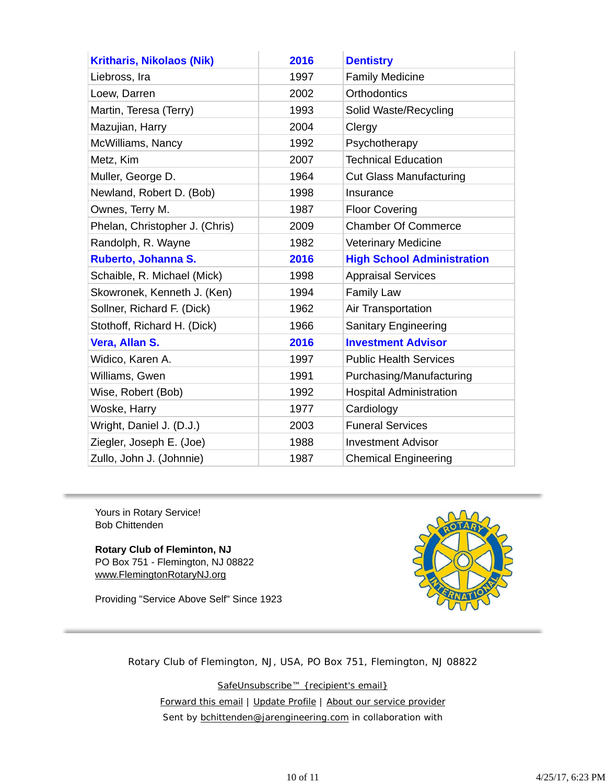| <b>Kritharis, Nikolaos (Nik)</b> | 2016 | <b>Dentistry</b>                  |
|----------------------------------|------|-----------------------------------|
| Liebross, Ira                    | 1997 | <b>Family Medicine</b>            |
| Loew, Darren                     | 2002 | <b>Orthodontics</b>               |
| Martin, Teresa (Terry)           | 1993 | Solid Waste/Recycling             |
| Mazujian, Harry                  | 2004 | Clergy                            |
| McWilliams, Nancy                | 1992 | Psychotherapy                     |
| Metz, Kim                        | 2007 | <b>Technical Education</b>        |
| Muller, George D.                | 1964 | <b>Cut Glass Manufacturing</b>    |
| Newland, Robert D. (Bob)         | 1998 | Insurance                         |
| Ownes, Terry M.                  | 1987 | <b>Floor Covering</b>             |
| Phelan, Christopher J. (Chris)   | 2009 | <b>Chamber Of Commerce</b>        |
| Randolph, R. Wayne               | 1982 | <b>Veterinary Medicine</b>        |
| Ruberto, Johanna S.              | 2016 | <b>High School Administration</b> |
| Schaible, R. Michael (Mick)      | 1998 | <b>Appraisal Services</b>         |
| Skowronek, Kenneth J. (Ken)      | 1994 | Family Law                        |
| Sollner, Richard F. (Dick)       | 1962 | Air Transportation                |
| Stothoff, Richard H. (Dick)      | 1966 | <b>Sanitary Engineering</b>       |
| Vera, Allan S.                   | 2016 | <b>Investment Advisor</b>         |
| Widico, Karen A.                 | 1997 | <b>Public Health Services</b>     |
| Williams, Gwen                   | 1991 | Purchasing/Manufacturing          |
| Wise, Robert (Bob)               | 1992 | <b>Hospital Administration</b>    |
| Woske, Harry                     | 1977 | Cardiology                        |
| Wright, Daniel J. (D.J.)         | 2003 | <b>Funeral Services</b>           |
| Ziegler, Joseph E. (Joe)         | 1988 | <b>Investment Advisor</b>         |
| Zullo, John J. (Johnnie)         | 1987 | <b>Chemical Engineering</b>       |

Yours in Rotary Service! Bob Chittenden

**Rotary Club of Fleminton, NJ** PO Box 751 - Flemington, NJ 08822 www.FlemingtonRotaryNJ.org

Providing "Service Above Self" Since 1923



Rotary Club of Flemington, NJ, USA, PO Box 751, Flemington, NJ 08822

SafeUnsubscribe™ {recipient's email} Forward this email | Update Profile | About our service provider Sent by **bchittenden@jarengineering.com** in collaboration with